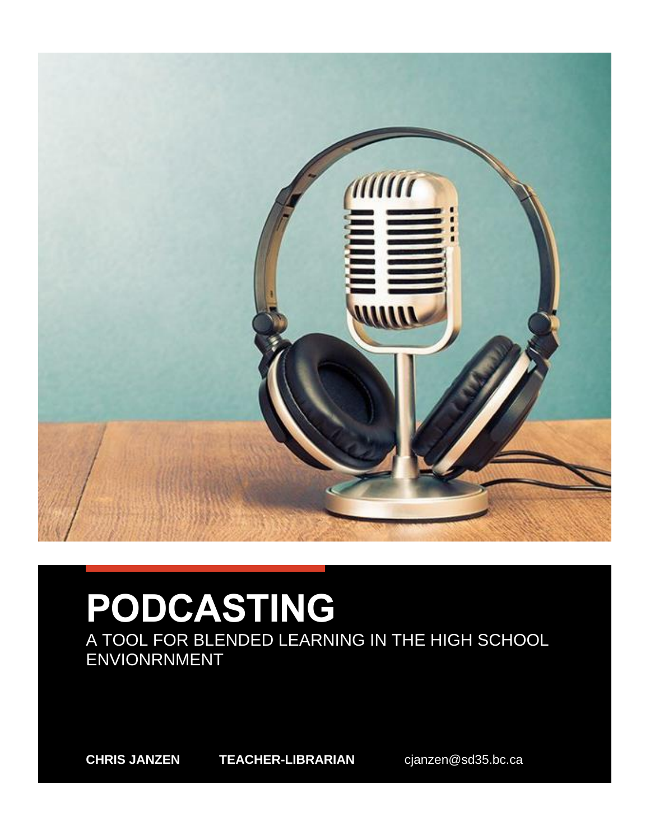

# **PODCASTING**

A TOOL FOR BLENDED LEARNING IN THE HIGH SCHOOL ENVIONRNMENT

**CHRIS JANZEN TEACHER-LIBRARIAN** cjanzen@sd35.bc.ca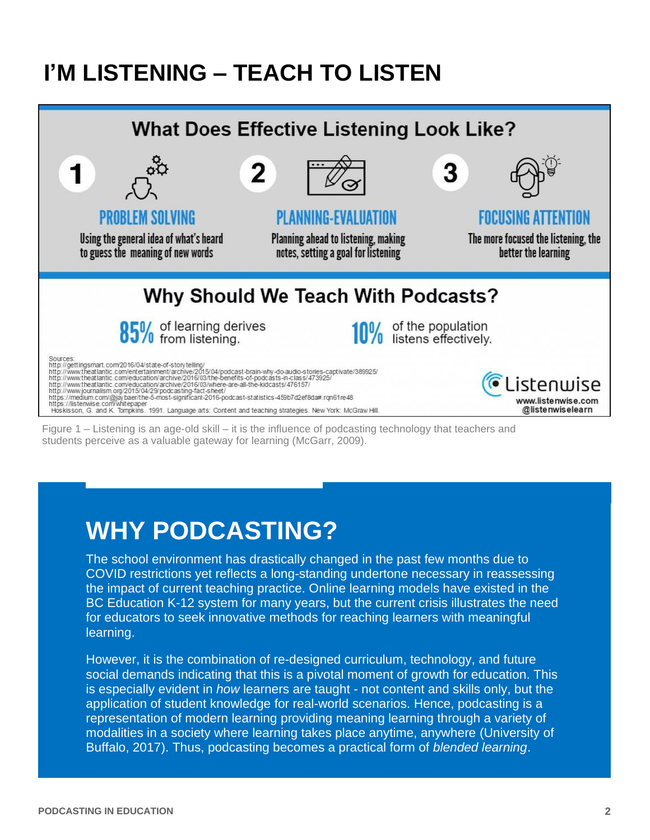### **I'M LISTENING – TEACH TO LISTEN**



Figure 1 – Listening is an age-old skill – it is the influence of podcasting technology that teachers and students perceive as a valuable gateway for learning (McGarr, 2009).

### **WHY PODCASTING?**

The school environment has drastically changed in the past few months due to COVID restrictions yet reflects a long-standing undertone necessary in reassessing the impact of current teaching practice. Online learning models have existed in the BC Education K-12 system for many years, but the current crisis illustrates the need for educators to seek innovative methods for reaching learners with meaningful learning.

However, it is the combination of re-designed curriculum, technology, and future social demands indicating that this is a pivotal moment of growth for education. This is especially evident in *how* learners are taught - not content and skills only, but the application of student knowledge for real-world scenarios. Hence, podcasting is a representation of modern learning providing meaning learning through a variety of modalities in a society where learning takes place anytime, anywhere (University of Buffalo, 2017). Thus, podcasting becomes a practical form of *blended learning*.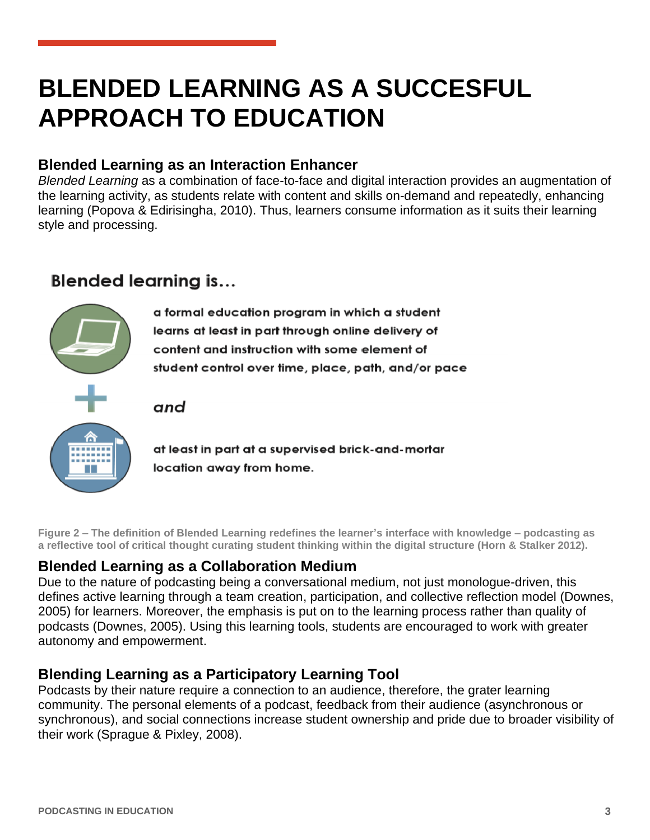# **BLENDED LEARNING AS A SUCCESFUL APPROACH TO EDUCATION**

#### **Blended Learning as an Interaction Enhancer**

*Blended Learning* as a combination of face-to-face and digital interaction provides an augmentation of the learning activity, as students relate with content and skills on-demand and repeatedly, enhancing learning (Popova & Edirisingha, 2010). Thus, learners consume information as it suits their learning style and processing.

### **Blended learning is...**



a formal education program in which a student learns at least in part through online delivery of content and instruction with some element of student control over time, place, path, and/or pace

#### and



at least in part at a supervised brick-and-mortar location away from home.

**Figure 2 – The definition of Blended Learning redefines the learner's interface with knowledge – podcasting as a reflective tool of critical thought curating student thinking within the digital structure (Horn & Stalker 2012).**

#### **Blended Learning as a Collaboration Medium**

Due to the nature of podcasting being a conversational medium, not just monologue-driven, this defines active learning through a team creation, participation, and collective reflection model (Downes, 2005) for learners. Moreover, the emphasis is put on to the learning process rather than quality of podcasts (Downes, 2005). Using this learning tools, students are encouraged to work with greater autonomy and empowerment.

#### **Blending Learning as a Participatory Learning Tool**

Podcasts by their nature require a connection to an audience, therefore, the grater learning community. The personal elements of a podcast, feedback from their audience (asynchronous or synchronous), and social connections increase student ownership and pride due to broader visibility of their work (Sprague & Pixley, 2008).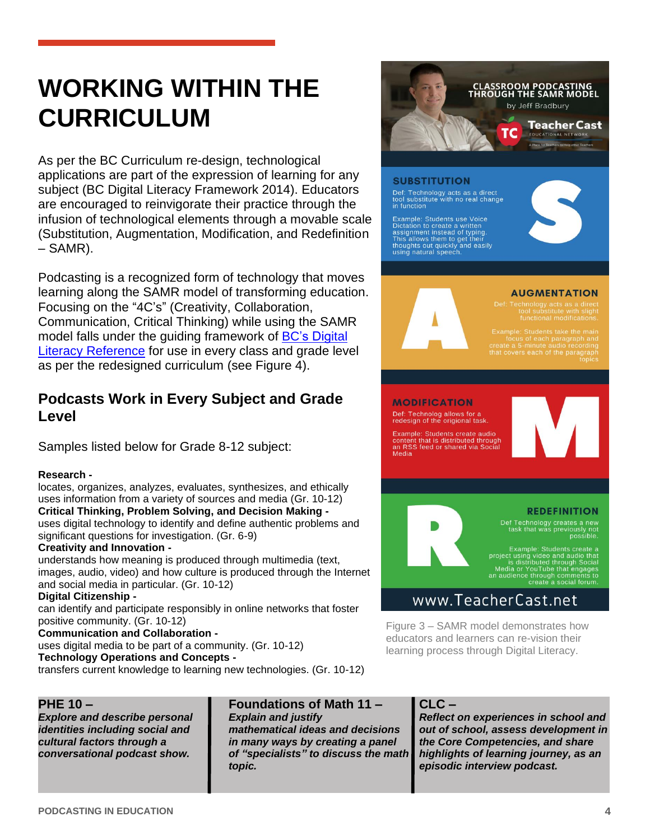# **WORKING WITHIN THE CURRICULUM**

As per the BC Curriculum re-design, technological applications are part of the expression of learning for any subject (BC Digital Literacy Framework 2014). Educators are encouraged to reinvigorate their practice through the infusion of technological elements through a movable scale (Substitution, Augmentation, Modification, and Redefinition – SAMR).

Podcasting is a recognized form of technology that moves learning along the SAMR model of transforming education. Focusing on the "4C's" (Creativity, Collaboration, Communication, Critical Thinking) while using the SAMR model falls under the guiding framework of [BC's Digital](https://www2.gov.bc.ca/assets/gov/education/kindergarten-to-grade-12/teach/teaching-tools/digital-literacy-framework.pdf)  [Literacy Reference](https://www2.gov.bc.ca/assets/gov/education/kindergarten-to-grade-12/teach/teaching-tools/digital-literacy-framework.pdf) for use in every class and grade level as per the redesigned curriculum (see Figure 4).

#### **Podcasts Work in Every Subject and Grade Level**

Samples listed below for Grade 8-12 subject:

#### **Research -**

locates, organizes, analyzes, evaluates, synthesizes, and ethically uses information from a variety of sources and media (Gr. 10-12) **Critical Thinking, Problem Solving, and Decision Making**  uses digital technology to identify and define authentic problems and significant questions for investigation. (Gr. 6-9)

#### **Creativity and Innovation -**

understands how meaning is produced through multimedia (text, images, audio, video) and how culture is produced through the Internet and social media in particular. (Gr. 10-12)

#### **Digital Citizenship -**

can identify and participate responsibly in online networks that foster positive community. (Gr. 10-12)

#### **Communication and Collaboration -**

uses digital media to be part of a community. (Gr. 10-12)

**Technology Operations and Concepts -**

transfers current knowledge to learning new technologies. (Gr. 10-12)

#### **PHE 10 –**

*Explore and describe personal identities including social and cultural factors through a conversational podcast show.*

#### **Foundations of Math 11 –**

*Explain and justify mathematical ideas and decisions in many ways by creating a panel of "specialists" to discuss the math topic.*

#### **CLC –**

*Reflect on experiences in school and out of school, assess development in the Core Competencies, and share highlights of learning journey, as an episodic interview podcast.*

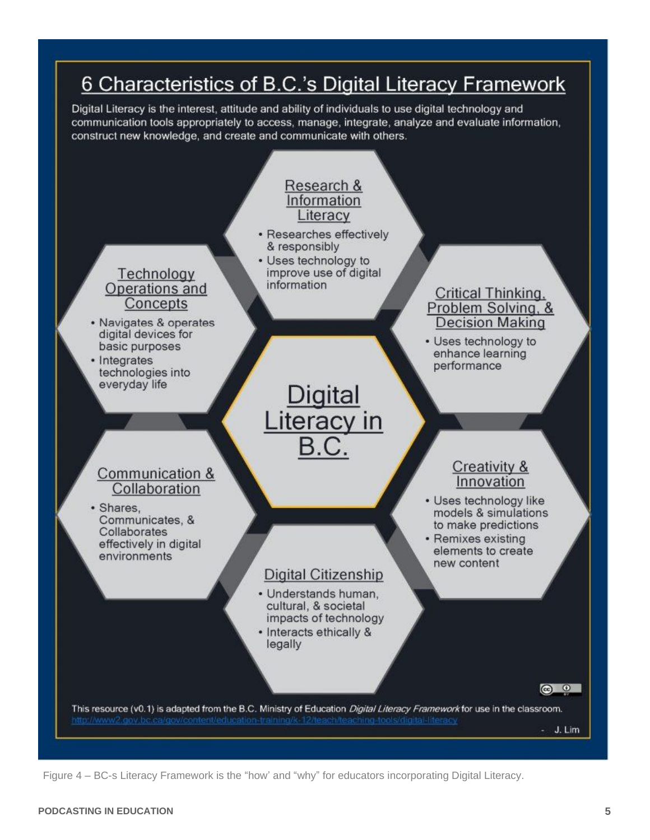

Figure 4 – BC-s Literacy Framework is the "how' and "why" for educators incorporating Digital Literacy.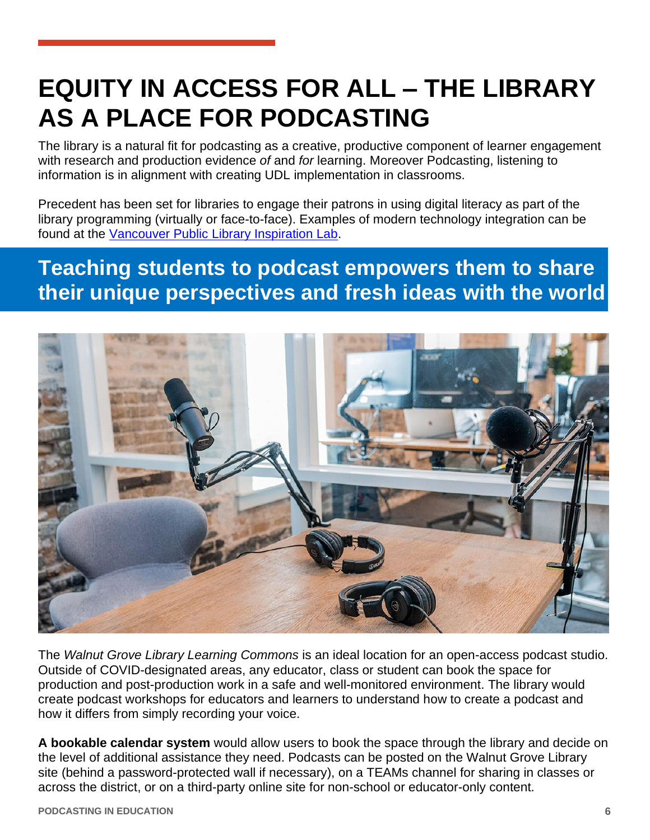# **EQUITY IN ACCESS FOR ALL – THE LIBRARY AS A PLACE FOR PODCASTING**

The library is a natural fit for podcasting as a creative, productive component of learner engagement with research and production evidence *of* and *for* learning. Moreover Podcasting, listening to information is in alignment with creating UDL implementation in classrooms.

Precedent has been set for libraries to engage their patrons in using digital literacy as part of the library programming (virtually or face-to-face). Examples of modern technology integration can be found at the [Vancouver Public Library Inspiration Lab.](https://www.vpl.ca/inspirationlab)

### **Teaching students to podcast empowers them to share their unique perspectives and fresh ideas with the world**



The *Walnut Grove Library Learning Commons* is an ideal location for an open-access podcast studio. Outside of COVID-designated areas, any educator, class or student can book the space for production and post-production work in a safe and well-monitored environment. The library would create podcast workshops for educators and learners to understand how to create a podcast and how it differs from simply recording your voice.

**A bookable calendar system** would allow users to book the space through the library and decide on the level of additional assistance they need. Podcasts can be posted on the Walnut Grove Library site (behind a password-protected wall if necessary), on a TEAMs channel for sharing in classes or across the district, or on a third-party online site for non-school or educator-only content.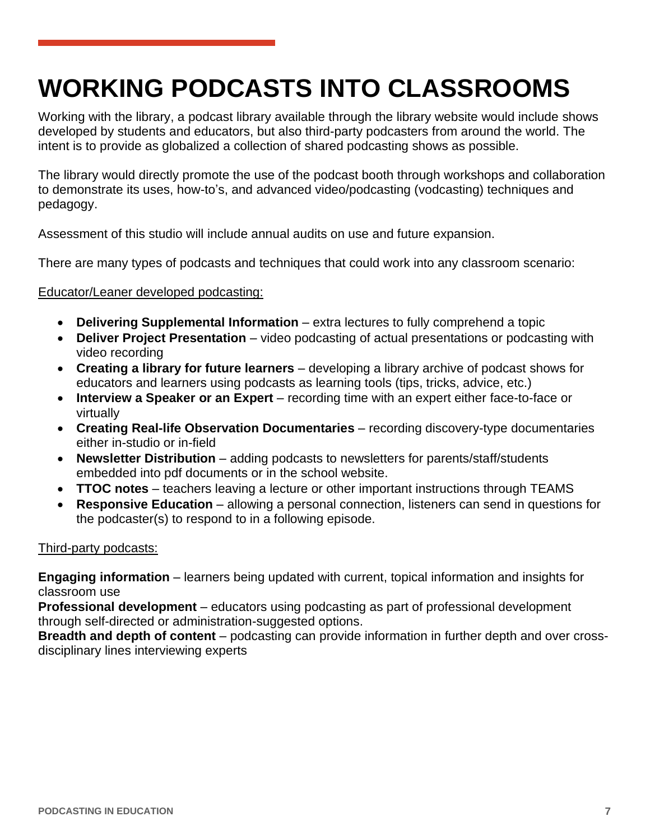# **WORKING PODCASTS INTO CLASSROOMS**

Working with the library, a podcast library available through the library website would include shows developed by students and educators, but also third-party podcasters from around the world. The intent is to provide as globalized a collection of shared podcasting shows as possible.

The library would directly promote the use of the podcast booth through workshops and collaboration to demonstrate its uses, how-to's, and advanced video/podcasting (vodcasting) techniques and pedagogy.

Assessment of this studio will include annual audits on use and future expansion.

There are many types of podcasts and techniques that could work into any classroom scenario:

#### Educator/Leaner developed podcasting:

- **Delivering Supplemental Information** extra lectures to fully comprehend a topic
- **Deliver Project Presentation** video podcasting of actual presentations or podcasting with video recording
- **Creating a library for future learners** developing a library archive of podcast shows for educators and learners using podcasts as learning tools (tips, tricks, advice, etc.)
- **Interview a Speaker or an Expert** recording time with an expert either face-to-face or virtually
- **Creating Real-life Observation Documentaries** recording discovery-type documentaries either in-studio or in-field
- **Newsletter Distribution** adding podcasts to newsletters for parents/staff/students embedded into pdf documents or in the school website.
- **TTOC notes** teachers leaving a lecture or other important instructions through TEAMS
- **Responsive Education** allowing a personal connection, listeners can send in questions for the podcaster(s) to respond to in a following episode.

#### Third-party podcasts:

**Engaging information** – learners being updated with current, topical information and insights for classroom use

**Professional development** – educators using podcasting as part of professional development through self-directed or administration-suggested options.

**Breadth and depth of content** – podcasting can provide information in further depth and over crossdisciplinary lines interviewing experts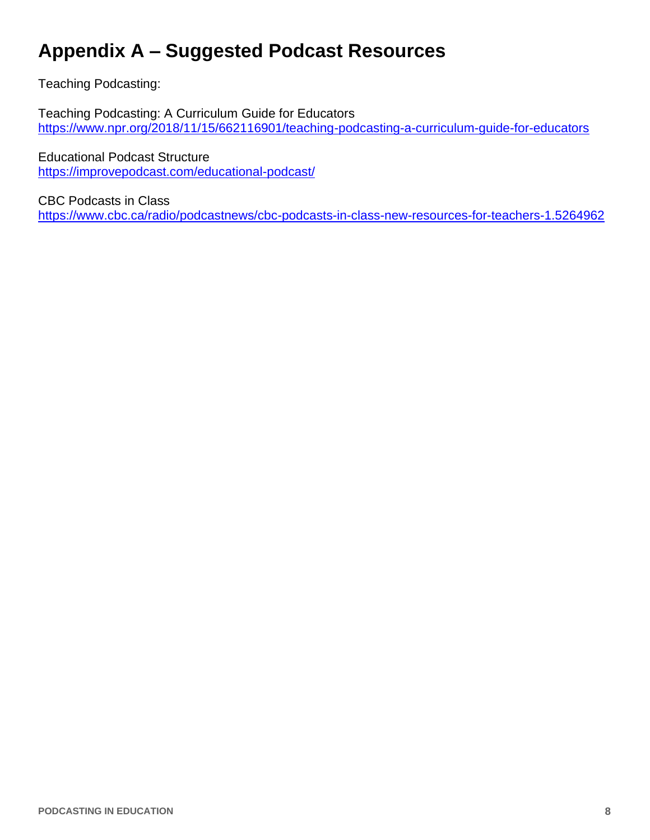### **Appendix A – Suggested Podcast Resources**

Teaching Podcasting:

Teaching Podcasting: A Curriculum Guide for Educators <https://www.npr.org/2018/11/15/662116901/teaching-podcasting-a-curriculum-guide-for-educators>

Educational Podcast Structure <https://improvepodcast.com/educational-podcast/>

CBC Podcasts in Class <https://www.cbc.ca/radio/podcastnews/cbc-podcasts-in-class-new-resources-for-teachers-1.5264962>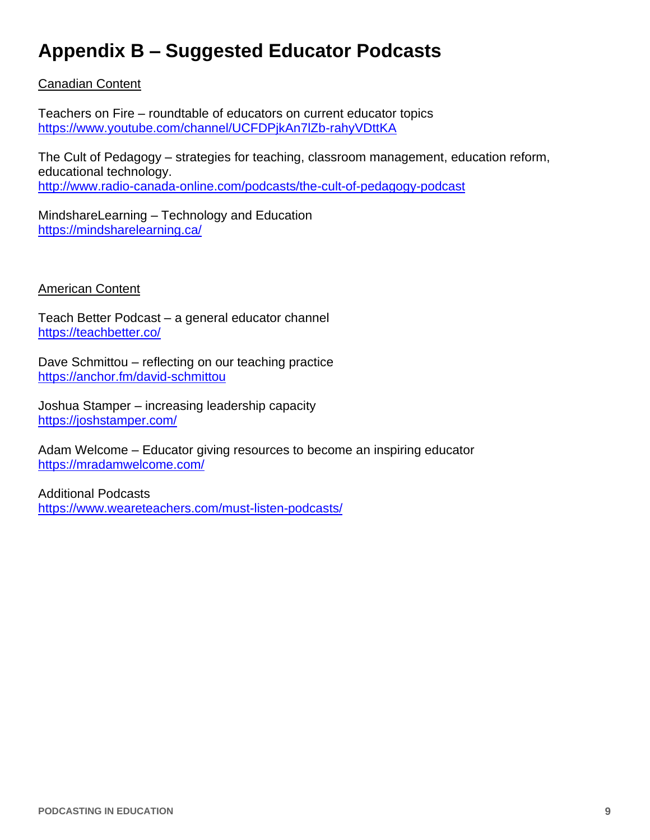### **Appendix B – Suggested Educator Podcasts**

#### Canadian Content

Teachers on Fire – roundtable of educators on current educator topics <https://www.youtube.com/channel/UCFDPjkAn7lZb-rahyVDttKA>

The Cult of Pedagogy – strategies for teaching, classroom management, education reform, educational technology. <http://www.radio-canada-online.com/podcasts/the-cult-of-pedagogy-podcast>

MindshareLearning – Technology and Education <https://mindsharelearning.ca/>

#### American Content

Teach Better Podcast – a general educator channel <https://teachbetter.co/>

Dave Schmittou – reflecting on our teaching practice <https://anchor.fm/david-schmittou>

Joshua Stamper – increasing leadership capacity <https://joshstamper.com/>

Adam Welcome – Educator giving resources to become an inspiring educator <https://mradamwelcome.com/>

Additional Podcasts <https://www.weareteachers.com/must-listen-podcasts/>